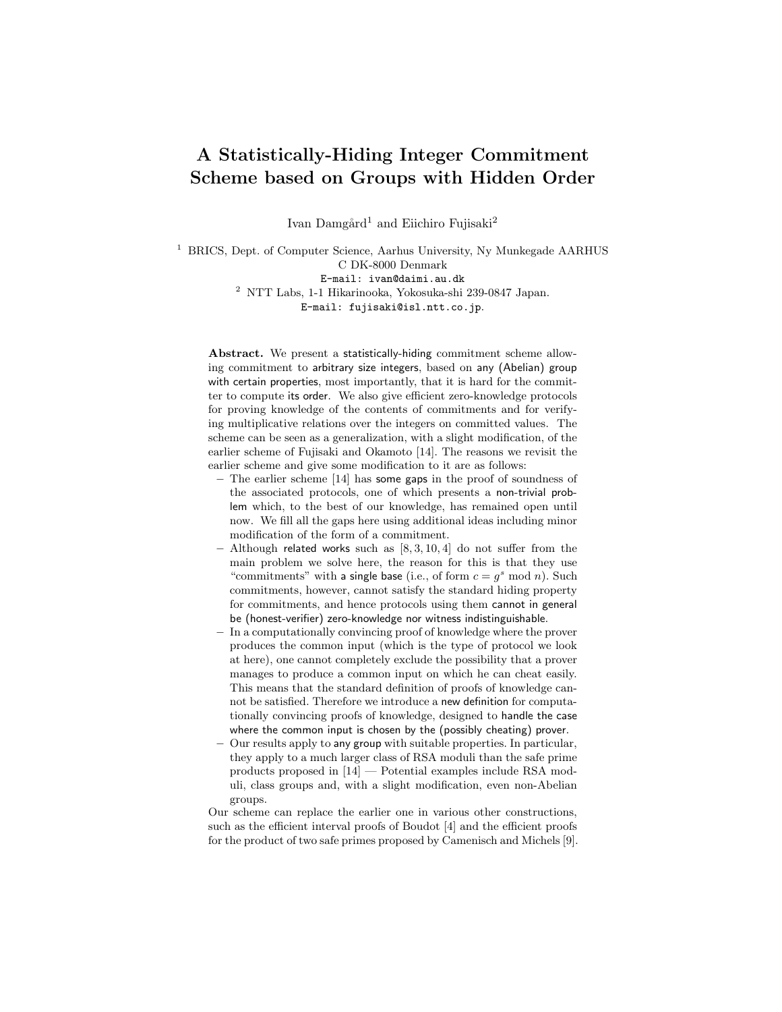# A Statistically-Hiding Integer Commitment Scheme based on Groups with Hidden Order

Ivan Damgård<sup>1</sup> and Eiichiro Fujisaki<sup>2</sup>

 $^{\rm 1}$  BRICS, Dept. of Computer Science, Aarhus University, Ny Munkegade AARHUS C DK-8000 Denmark E-mail: ivan@daimi.au.dk <sup>2</sup> NTT Labs, 1-1 Hikarinooka, Yokosuka-shi 239-0847 Japan. E-mail: fujisaki@isl.ntt.co.jp.

Abstract. We present a statistically-hiding commitment scheme allowing commitment to arbitrary size integers, based on any (Abelian) group with certain properties, most importantly, that it is hard for the committer to compute its order. We also give efficient zero-knowledge protocols for proving knowledge of the contents of commitments and for verifying multiplicative relations over the integers on committed values. The scheme can be seen as a generalization, with a slight modification, of the earlier scheme of Fujisaki and Okamoto [14]. The reasons we revisit the earlier scheme and give some modification to it are as follows:

- The earlier scheme [14] has some gaps in the proof of soundness of the associated protocols, one of which presents a non-trivial problem which, to the best of our knowledge, has remained open until now. We fill all the gaps here using additional ideas including minor modification of the form of a commitment.
- Although related works such as  $[8, 3, 10, 4]$  do not suffer from the main problem we solve here, the reason for this is that they use "commitments" with a single base (i.e., of form  $c = g<sup>s</sup> \text{ mod } n$ ). Such commitments, however, cannot satisfy the standard hiding property for commitments, and hence protocols using them cannot in general be (honest-verifier) zero-knowledge nor witness indistinguishable.
- In a computationally convincing proof of knowledge where the prover produces the common input (which is the type of protocol we look at here), one cannot completely exclude the possibility that a prover manages to produce a common input on which he can cheat easily. This means that the standard definition of proofs of knowledge cannot be satisfied. Therefore we introduce a new definition for computationally convincing proofs of knowledge, designed to handle the case where the common input is chosen by the (possibly cheating) prover.
- Our results apply to any group with suitable properties. In particular, they apply to a much larger class of RSA moduli than the safe prime products proposed in [14] — Potential examples include RSA moduli, class groups and, with a slight modification, even non-Abelian groups.

Our scheme can replace the earlier one in various other constructions, such as the efficient interval proofs of Boudot [4] and the efficient proofs for the product of two safe primes proposed by Camenisch and Michels [9].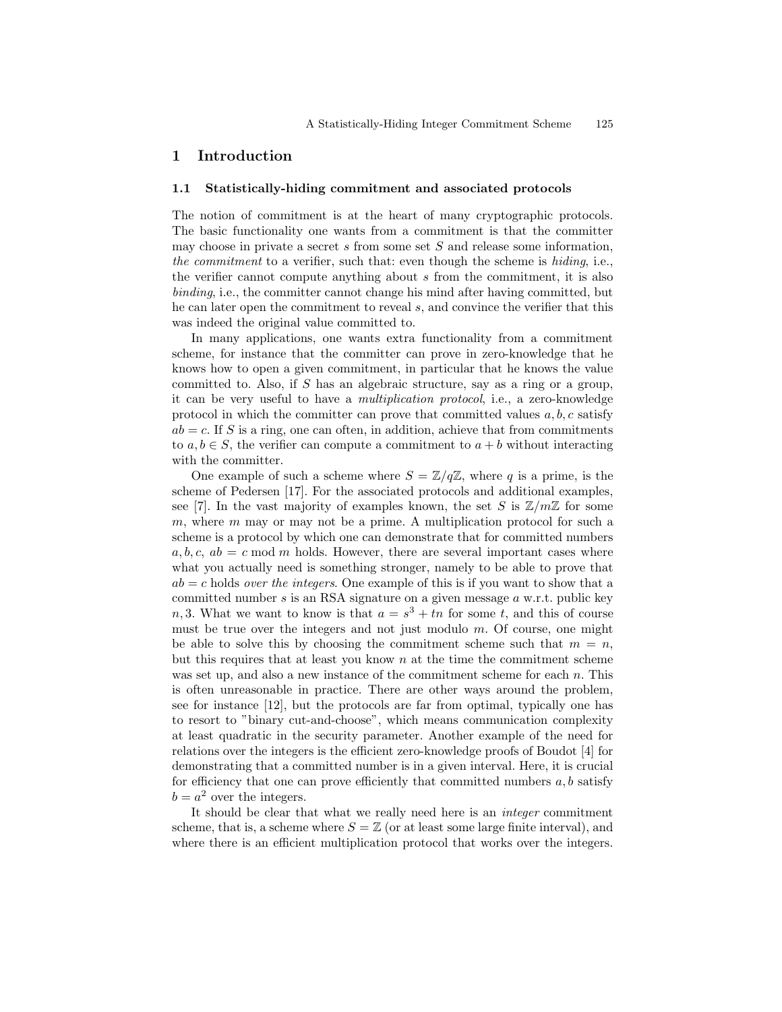# 1 Introduction

#### 1.1 Statistically-hiding commitment and associated protocols

The notion of commitment is at the heart of many cryptographic protocols. The basic functionality one wants from a commitment is that the committer may choose in private a secret  $s$  from some set  $S$  and release some information, the commitment to a verifier, such that: even though the scheme is hiding, i.e., the verifier cannot compute anything about s from the commitment, it is also binding, i.e., the committer cannot change his mind after having committed, but he can later open the commitment to reveal s, and convince the verifier that this was indeed the original value committed to.

In many applications, one wants extra functionality from a commitment scheme, for instance that the committer can prove in zero-knowledge that he knows how to open a given commitment, in particular that he knows the value committed to. Also, if S has an algebraic structure, say as a ring or a group, it can be very useful to have a multiplication protocol, i.e., a zero-knowledge protocol in which the committer can prove that committed values  $a, b, c$  satisfy  $ab = c$ . If S is a ring, one can often, in addition, achieve that from commitments to  $a, b \in S$ , the verifier can compute a commitment to  $a + b$  without interacting with the committer.

One example of such a scheme where  $S = \mathbb{Z}/q\mathbb{Z}$ , where q is a prime, is the scheme of Pedersen [17]. For the associated protocols and additional examples, see [7]. In the vast majority of examples known, the set S is  $\mathbb{Z}/m\mathbb{Z}$  for some m, where m may or may not be a prime. A multiplication protocol for such a scheme is a protocol by which one can demonstrate that for committed numbers  $a, b, c, ab = c \mod m$  holds. However, there are several important cases where what you actually need is something stronger, namely to be able to prove that  $ab = c$  holds over the integers. One example of this is if you want to show that a committed number  $s$  is an RSA signature on a given message  $a$  w.r.t. public key n, 3. What we want to know is that  $a = s^3 + tn$  for some t, and this of course must be true over the integers and not just modulo  $m$ . Of course, one might be able to solve this by choosing the commitment scheme such that  $m = n$ , but this requires that at least you know  $n$  at the time the commitment scheme was set up, and also a new instance of the commitment scheme for each  $n$ . This is often unreasonable in practice. There are other ways around the problem, see for instance [12], but the protocols are far from optimal, typically one has to resort to "binary cut-and-choose", which means communication complexity at least quadratic in the security parameter. Another example of the need for relations over the integers is the efficient zero-knowledge proofs of Boudot [4] for demonstrating that a committed number is in a given interval. Here, it is crucial for efficiency that one can prove efficiently that committed numbers  $a, b$  satisfy  $b = a^2$  over the integers.

It should be clear that what we really need here is an integer commitment scheme, that is, a scheme where  $S = \mathbb{Z}$  (or at least some large finite interval), and where there is an efficient multiplication protocol that works over the integers.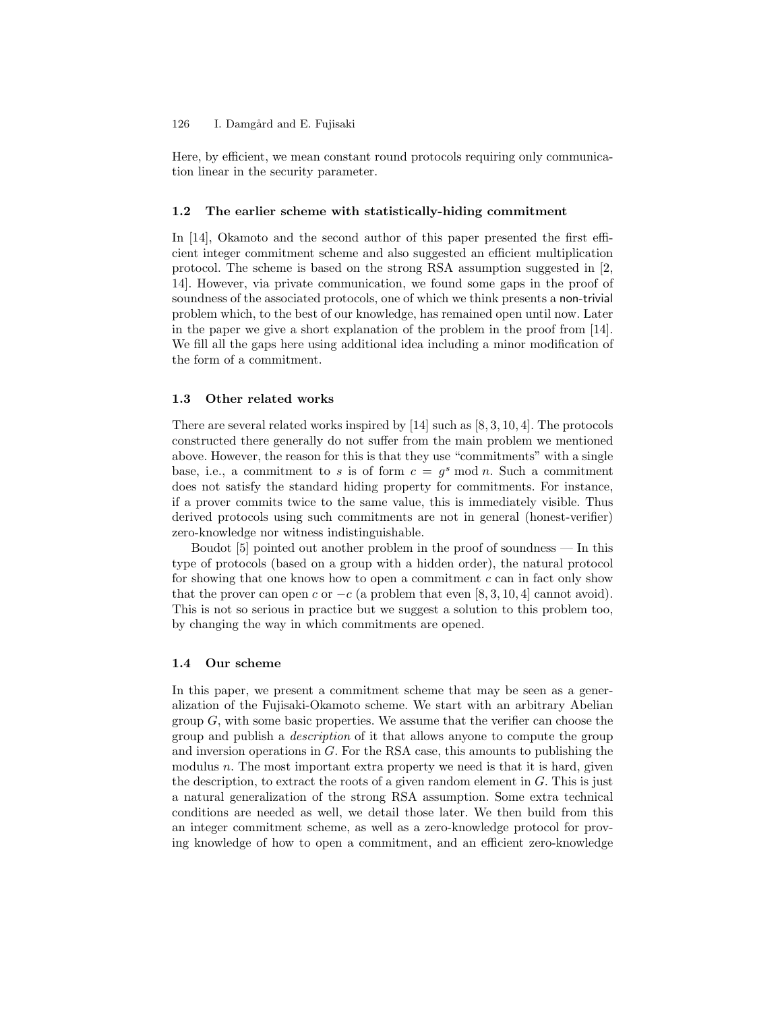Here, by efficient, we mean constant round protocols requiring only communication linear in the security parameter.

#### 1.2 The earlier scheme with statistically-hiding commitment

In [14], Okamoto and the second author of this paper presented the first efficient integer commitment scheme and also suggested an efficient multiplication protocol. The scheme is based on the strong RSA assumption suggested in [2, 14]. However, via private communication, we found some gaps in the proof of soundness of the associated protocols, one of which we think presents a non-trivial problem which, to the best of our knowledge, has remained open until now. Later in the paper we give a short explanation of the problem in the proof from [14]. We fill all the gaps here using additional idea including a minor modification of the form of a commitment.

# 1.3 Other related works

There are several related works inspired by [14] such as [8, 3, 10, 4]. The protocols constructed there generally do not suffer from the main problem we mentioned above. However, the reason for this is that they use "commitments" with a single base, i.e., a commitment to s is of form  $c = g<sup>s</sup> \mod n$ . Such a commitment does not satisfy the standard hiding property for commitments. For instance, if a prover commits twice to the same value, this is immediately visible. Thus derived protocols using such commitments are not in general (honest-verifier) zero-knowledge nor witness indistinguishable.

Boudot [5] pointed out another problem in the proof of soundness — In this type of protocols (based on a group with a hidden order), the natural protocol for showing that one knows how to open a commitment  $c$  can in fact only show that the prover can open c or  $-c$  (a problem that even [8, 3, 10, 4] cannot avoid). This is not so serious in practice but we suggest a solution to this problem too, by changing the way in which commitments are opened.

#### 1.4 Our scheme

In this paper, we present a commitment scheme that may be seen as a generalization of the Fujisaki-Okamoto scheme. We start with an arbitrary Abelian group  $G$ , with some basic properties. We assume that the verifier can choose the group and publish a description of it that allows anyone to compute the group and inversion operations in  $G$ . For the RSA case, this amounts to publishing the modulus  $n$ . The most important extra property we need is that it is hard, given the description, to extract the roots of a given random element in  $G$ . This is just a natural generalization of the strong RSA assumption. Some extra technical conditions are needed as well, we detail those later. We then build from this an integer commitment scheme, as well as a zero-knowledge protocol for proving knowledge of how to open a commitment, and an efficient zero-knowledge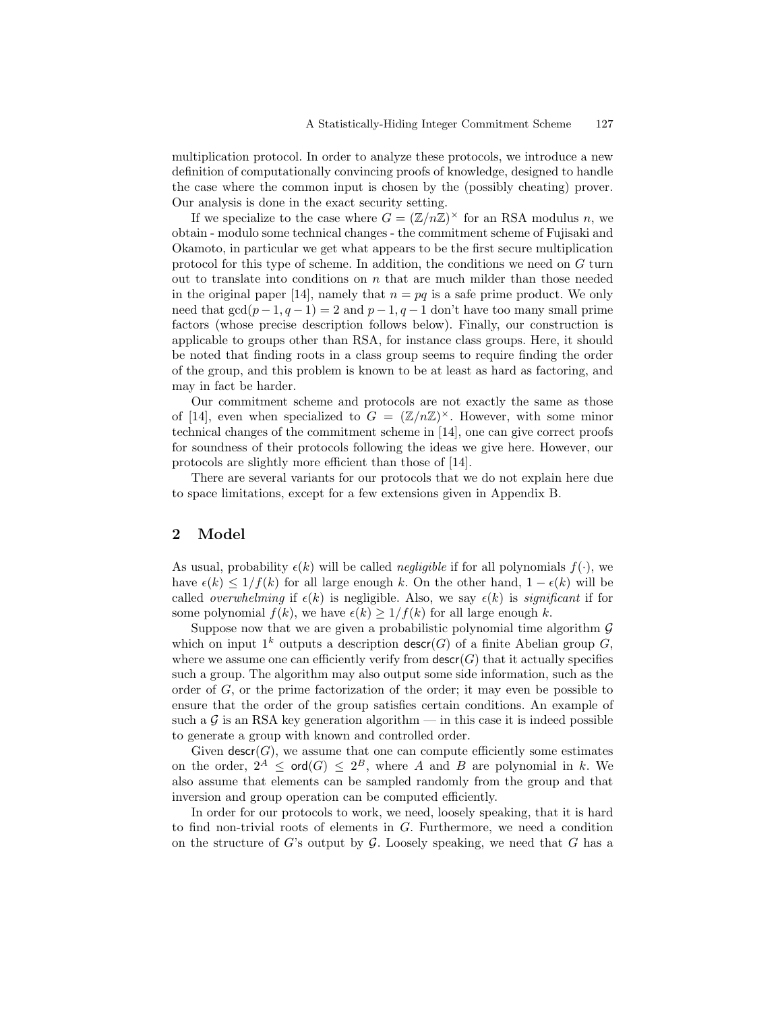multiplication protocol. In order to analyze these protocols, we introduce a new definition of computationally convincing proofs of knowledge, designed to handle the case where the common input is chosen by the (possibly cheating) prover. Our analysis is done in the exact security setting.

If we specialize to the case where  $G = (\mathbb{Z}/n\mathbb{Z})^{\times}$  for an RSA modulus n, we obtain - modulo some technical changes - the commitment scheme of Fujisaki and Okamoto, in particular we get what appears to be the first secure multiplication protocol for this type of scheme. In addition, the conditions we need on G turn out to translate into conditions on  $n$  that are much milder than those needed in the original paper [14], namely that  $n = pq$  is a safe prime product. We only need that  $gcd(p-1, q-1) = 2$  and  $p-1, q-1$  don't have too many small prime factors (whose precise description follows below). Finally, our construction is applicable to groups other than RSA, for instance class groups. Here, it should be noted that finding roots in a class group seems to require finding the order of the group, and this problem is known to be at least as hard as factoring, and may in fact be harder.

Our commitment scheme and protocols are not exactly the same as those of [14], even when specialized to  $G = (\mathbb{Z}/n\mathbb{Z})^{\times}$ . However, with some minor technical changes of the commitment scheme in [14], one can give correct proofs for soundness of their protocols following the ideas we give here. However, our protocols are slightly more efficient than those of [14].

There are several variants for our protocols that we do not explain here due to space limitations, except for a few extensions given in Appendix B.

# 2 Model

As usual, probability  $\epsilon(k)$  will be called *negligible* if for all polynomials  $f(\cdot)$ , we have  $\epsilon(k) \leq 1/f(k)$  for all large enough k. On the other hand,  $1 - \epsilon(k)$  will be called *overwhelming* if  $\epsilon(k)$  is negligible. Also, we say  $\epsilon(k)$  is *significant* if for some polynomial  $f(k)$ , we have  $\epsilon(k) \geq 1/f(k)$  for all large enough k.

Suppose now that we are given a probabilistic polynomial time algorithm  $\mathcal G$ which on input  $1^k$  outputs a description  $\text{desc}(G)$  of a finite Abelian group G, where we assume one can efficiently verify from  $\mathsf{descr}(G)$  that it actually specifies such a group. The algorithm may also output some side information, such as the order of G, or the prime factorization of the order; it may even be possible to ensure that the order of the group satisfies certain conditions. An example of such a G is an RSA key generation algorithm — in this case it is indeed possible to generate a group with known and controlled order.

Given  $\textsf{descr}(G)$ , we assume that one can compute efficiently some estimates on the order,  $2^A \leq \text{ord}(G) \leq 2^B$ , where A and B are polynomial in k. We also assume that elements can be sampled randomly from the group and that inversion and group operation can be computed efficiently.

In order for our protocols to work, we need, loosely speaking, that it is hard to find non-trivial roots of elements in G. Furthermore, we need a condition on the structure of G's output by G. Loosely speaking, we need that G has a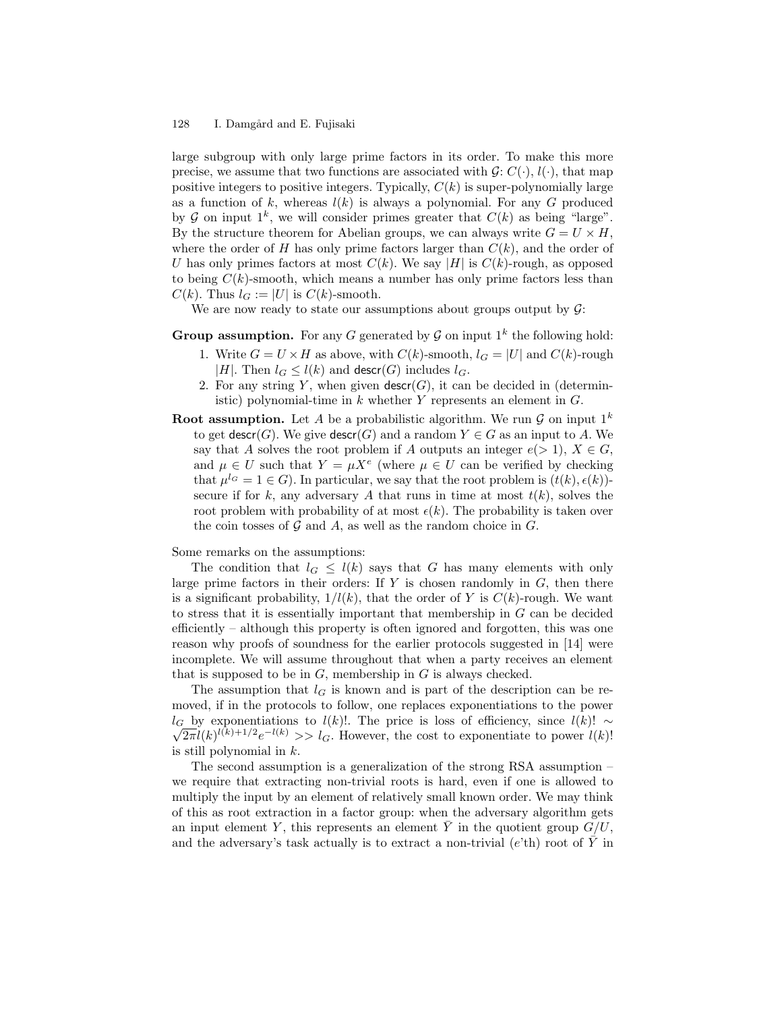large subgroup with only large prime factors in its order. To make this more precise, we assume that two functions are associated with  $\mathcal{G}: C(\cdot), l(\cdot)$ , that map positive integers to positive integers. Typically,  $C(k)$  is super-polynomially large as a function of k, whereas  $l(k)$  is always a polynomial. For any G produced by G on input  $1^k$ , we will consider primes greater that  $C(k)$  as being "large". By the structure theorem for Abelian groups, we can always write  $G = U \times H$ , where the order of H has only prime factors larger than  $C(k)$ , and the order of U has only primes factors at most  $C(k)$ . We say |H| is  $C(k)$ -rough, as opposed to being  $C(k)$ -smooth, which means a number has only prime factors less than  $C(k)$ . Thus  $l_G := |U|$  is  $C(k)$ -smooth.

We are now ready to state our assumptions about groups output by  $\mathcal{G}$ :

- **Group assumption.** For any G generated by  $\mathcal{G}$  on input  $1^k$  the following hold:
	- 1. Write  $G = U \times H$  as above, with  $C(k)$ -smooth,  $l_G = |U|$  and  $C(k)$ -rough |H|. Then  $l_G \leq l(k)$  and  $\mathsf{descr}(G)$  includes  $l_G$ .
	- 2. For any string Y, when given  $\mathsf{descr}(G)$ , it can be decided in (deterministic) polynomial-time in  $k$  whether  $Y$  represents an element in  $G$ .
- **Root assumption.** Let A be a probabilistic algorithm. We run  $\mathcal G$  on input  $1^k$ to get descr(G). We give descr(G) and a random  $Y \in G$  as an input to A. We say that A solves the root problem if A outputs an integer  $e(> 1)$ ,  $X \in G$ , and  $\mu \in U$  such that  $Y = \mu X^e$  (where  $\mu \in U$  can be verified by checking that  $\mu^{l_G} = 1 \in G$ ). In particular, we say that the root problem is  $(t(k), \epsilon(k))$ secure if for k, any adversary A that runs in time at most  $t(k)$ , solves the root problem with probability of at most  $\epsilon(k)$ . The probability is taken over the coin tosses of  $\mathcal G$  and  $\mathcal A$ , as well as the random choice in  $\mathcal G$ .

Some remarks on the assumptions:

The condition that  $l_G \leq l(k)$  says that G has many elements with only large prime factors in their orders: If  $Y$  is chosen randomly in  $G$ , then there is a significant probability,  $1/l(k)$ , that the order of Y is  $C(k)$ -rough. We want to stress that it is essentially important that membership in  $G$  can be decided efficiently – although this property is often ignored and forgotten, this was one reason why proofs of soundness for the earlier protocols suggested in [14] were incomplete. We will assume throughout that when a party receives an element that is supposed to be in  $G$ , membership in  $G$  is always checked.

The assumption that  $l_G$  is known and is part of the description can be removed, if in the protocols to follow, one replaces exponentiations to the power  $l_G$  by exponentiations to  $l(k)!$ . The price is loss of efficiency, since  $l(k)!$  ∼  $\sqrt{2\pi}l(k)^{l(k)+1/2}e^{-l(k)} >> l_G$ . However, the cost to exponentiate to power  $l(k)$ ! is still polynomial in k.

The second assumption is a generalization of the strong RSA assumption – we require that extracting non-trivial roots is hard, even if one is allowed to multiply the input by an element of relatively small known order. We may think of this as root extraction in a factor group: when the adversary algorithm gets an input element Y, this represents an element  $\overline{Y}$  in the quotient group  $G/U$ , and the adversary's task actually is to extract a non-trivial (e'th) root of  $\overline{Y}$  in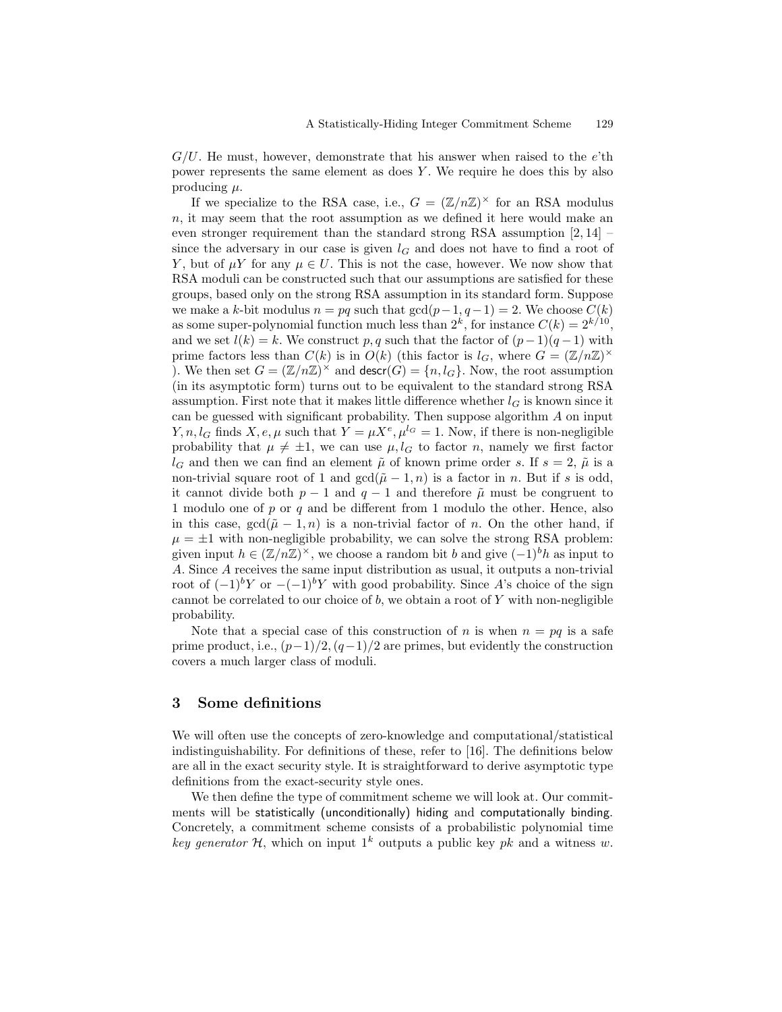$G/U$ . He must, however, demonstrate that his answer when raised to the e'th power represents the same element as does  $Y$ . We require he does this by also producing  $\mu$ .

If we specialize to the RSA case, i.e.,  $G = (\mathbb{Z}/n\mathbb{Z})^{\times}$  for an RSA modulus  $n$ , it may seem that the root assumption as we defined it here would make an even stronger requirement than the standard strong RSA assumption [2, 14] – since the adversary in our case is given  $l_G$  and does not have to find a root of Y, but of  $\mu Y$  for any  $\mu \in U$ . This is not the case, however. We now show that RSA moduli can be constructed such that our assumptions are satisfied for these groups, based only on the strong RSA assumption in its standard form. Suppose we make a k-bit modulus  $n = pq$  such that  $gcd(p-1, q-1) = 2$ . We choose  $C(k)$ as some super-polynomial function much less than  $2^k$ , for instance  $C(k) = 2^{k/10}$ , and we set  $l(k) = k$ . We construct p, q such that the factor of  $(p-1)(q-1)$  with prime factors less than  $C(k)$  is in  $O(k)$  (this factor is  $l_G$ , where  $G = (\mathbb{Z}/n\mathbb{Z})^{\times}$ ). We then set  $G = (\mathbb{Z}/n\mathbb{Z})^{\times}$  and  $\text{desc}(G) = \{n, l_G\}$ . Now, the root assumption (in its asymptotic form) turns out to be equivalent to the standard strong RSA assumption. First note that it makes little difference whether  $l_G$  is known since it can be guessed with significant probability. Then suppose algorithm  $A$  on input  $Y, n, l_G$  finds  $X, e, \mu$  such that  $Y = \mu X^e, \mu^{l_G} = 1$ . Now, if there is non-negligible probability that  $\mu \neq \pm 1$ , we can use  $\mu$ ,  $l_G$  to factor n, namely we first factor  $l_G$  and then we can find an element  $\tilde{\mu}$  of known prime order s. If  $s = 2$ ,  $\tilde{\mu}$  is a non-trivial square root of 1 and  $gcd(\tilde{\mu}-1,n)$  is a factor in n. But if s is odd, it cannot divide both  $p - 1$  and  $q - 1$  and therefore  $\tilde{\mu}$  must be congruent to 1 modulo one of p or q and be different from 1 modulo the other. Hence, also in this case,  $gcd(\tilde{\mu} - 1, n)$  is a non-trivial factor of n. On the other hand, if  $\mu = \pm 1$  with non-negligible probability, we can solve the strong RSA problem: given input  $h \in (\mathbb{Z}/n\mathbb{Z})^{\times}$ , we choose a random bit b and give  $(-1)^{b}h$  as input to A. Since A receives the same input distribution as usual, it outputs a non-trivial root of  $(-1)^b Y$  or  $-(-1)^b Y$  with good probability. Since A's choice of the sign cannot be correlated to our choice of b, we obtain a root of Y with non-negligible probability.

Note that a special case of this construction of n is when  $n = pq$  is a safe prime product, i.e.,  $(p-1)/2$ ,  $(q-1)/2$  are primes, but evidently the construction covers a much larger class of moduli.

# 3 Some definitions

We will often use the concepts of zero-knowledge and computational/statistical indistinguishability. For definitions of these, refer to [16]. The definitions below are all in the exact security style. It is straightforward to derive asymptotic type definitions from the exact-security style ones.

We then define the type of commitment scheme we will look at. Our commitments will be statistically (unconditionally) hiding and computationally binding. Concretely, a commitment scheme consists of a probabilistic polynomial time key generator  $\mathcal{H}$ , which on input  $1^k$  outputs a public key pk and a witness w.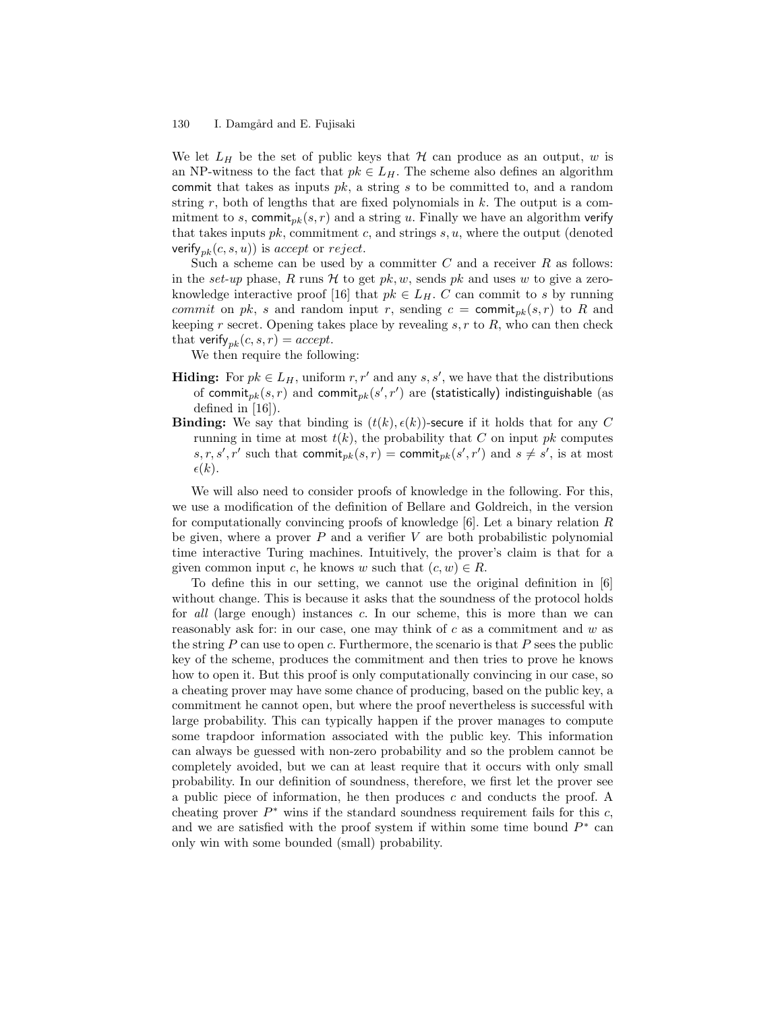We let  $L_H$  be the set of public keys that  $H$  can produce as an output, w is an NP-witness to the fact that  $pk \in L_H$ . The scheme also defines an algorithm commit that takes as inputs  $pk$ , a string s to be committed to, and a random string r, both of lengths that are fixed polynomials in  $k$ . The output is a commitment to s, commit<sub>pk</sub> $(s, r)$  and a string u. Finally we have an algorithm verify that takes inputs  $pk$ , commitment c, and strings  $s, u$ , where the output (denoted verify<sub>pk</sub> $(c, s, u)$ ) is accept or reject.

Such a scheme can be used by a committer  $C$  and a receiver  $R$  as follows: in the set-up phase, R runs H to get  $pk, w$ , sends pk and uses w to give a zeroknowledge interactive proof [16] that  $pk \in L_H$ . C can commit to s by running commit on pk, s and random input r, sending  $c = \text{commit}_{pk}(s,r)$  to R and keeping r secret. Opening takes place by revealing  $s, r$  to  $R$ , who can then check that verify<sub>nk</sub> $(c, s, r) = accept.$ 

We then require the following:

- **Hiding:** For  $pk \in L_H$ , uniform  $r, r'$  and any  $s, s'$ , we have that the distributions of commit ${}_{pk}(s,r)$  and commit ${}_{pk}(s',r')$  are (statistically) indistinguishable (as defined in [16]).
- **Binding:** We say that binding is  $(t(k), \epsilon(k))$ -secure if it holds that for any C running in time at most  $t(k)$ , the probability that C on input pk computes  $s, r, s', r'$  such that commit<sub>pk</sub> $(s, r) =$  commit<sub>pk</sub> $(s', r')$  and  $s \neq s'$ , is at most  $\epsilon(k)$ .

We will also need to consider proofs of knowledge in the following. For this, we use a modification of the definition of Bellare and Goldreich, in the version for computationally convincing proofs of knowledge  $[6]$ . Let a binary relation R be given, where a prover  $P$  and a verifier  $V$  are both probabilistic polynomial time interactive Turing machines. Intuitively, the prover's claim is that for a given common input c, he knows w such that  $(c, w) \in R$ .

To define this in our setting, we cannot use the original definition in [6] without change. This is because it asks that the soundness of the protocol holds for all (large enough) instances c. In our scheme, this is more than we can reasonably ask for: in our case, one may think of  $c$  as a commitment and  $w$  as the string  $P$  can use to open  $c$ . Furthermore, the scenario is that  $P$  sees the public key of the scheme, produces the commitment and then tries to prove he knows how to open it. But this proof is only computationally convincing in our case, so a cheating prover may have some chance of producing, based on the public key, a commitment he cannot open, but where the proof nevertheless is successful with large probability. This can typically happen if the prover manages to compute some trapdoor information associated with the public key. This information can always be guessed with non-zero probability and so the problem cannot be completely avoided, but we can at least require that it occurs with only small probability. In our definition of soundness, therefore, we first let the prover see a public piece of information, he then produces  $c$  and conducts the proof. A cheating prover  $P^*$  wins if the standard soundness requirement fails for this  $c$ , and we are satisfied with the proof system if within some time bound  $P^*$  can only win with some bounded (small) probability.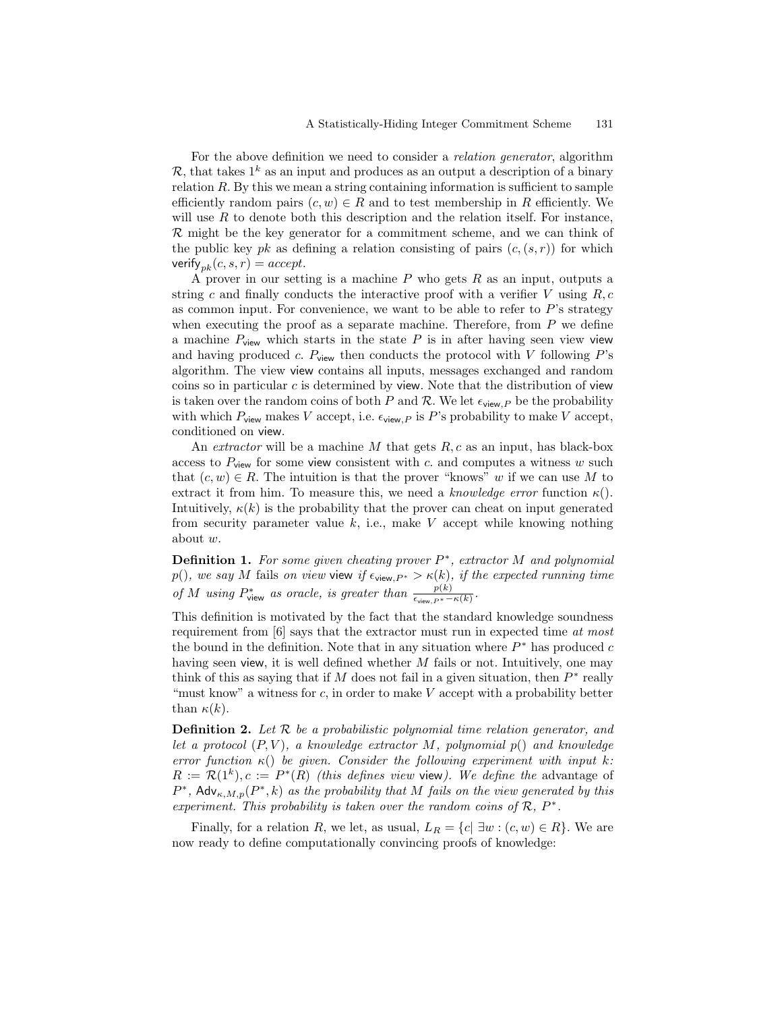For the above definition we need to consider a relation generator, algorithm  $\mathcal{R}$ , that takes  $1^k$  as an input and produces as an output a description of a binary relation  $R$ . By this we mean a string containing information is sufficient to sample efficiently random pairs  $(c, w) \in R$  and to test membership in R efficiently. We will use  $R$  to denote both this description and the relation itself. For instance, R might be the key generator for a commitment scheme, and we can think of the public key pk as defining a relation consisting of pairs  $(c,(s,r))$  for which verify<sub>nk</sub> $(c, s, r) = accept.$ 

A prover in our setting is a machine P who gets R as an input, outputs a string c and finally conducts the interactive proof with a verifier  $V$  using  $R, c$ as common input. For convenience, we want to be able to refer to  $P$ 's strategy when executing the proof as a separate machine. Therefore, from  $P$  we define a machine  $P_{\text{view}}$  which starts in the state P is in after having seen view view and having produced c.  $P_{\text{view}}$  then conducts the protocol with V following  $P$ 's algorithm. The view view contains all inputs, messages exchanged and random coins so in particular  $c$  is determined by view. Note that the distribution of view is taken over the random coins of both P and R. We let  $\epsilon_{\text{view},P}$  be the probability with which  $P_{\text{view}}$  makes V accept, i.e.  $\epsilon_{\text{view}}$  is P's probability to make V accept, conditioned on view.

An extractor will be a machine M that gets  $R, c$  as an input, has black-box access to  $P_{\text{view}}$  for some view consistent with c. and computes a witness w such that  $(c, w) \in R$ . The intuition is that the prover "knows" w if we can use M to extract it from him. To measure this, we need a knowledge error function  $\kappa$ . Intuitively,  $\kappa(k)$  is the probability that the prover can cheat on input generated from security parameter value  $k$ , i.e., make V accept while knowing nothing about w.

**Definition 1.** For some given cheating prover  $P^*$ , extractor M and polynomial p(), we say M fails on view view if  $\epsilon_{\text{view},P^*} > \kappa(k)$ , if the expected running time of M using  $P_{\text{view}}^*$  as oracle, is greater than  $\frac{p(k)}{\epsilon_{\text{view},P^*}-\kappa(k)}$ .

This definition is motivated by the fact that the standard knowledge soundness requirement from [6] says that the extractor must run in expected time at most the bound in the definition. Note that in any situation where  $P^*$  has produced c having seen view, it is well defined whether  $M$  fails or not. Intuitively, one may think of this as saying that if  $M$  does not fail in a given situation, then  $P^*$  really "must know" a witness for  $c$ , in order to make  $V$  accept with a probability better than  $\kappa(k)$ .

**Definition 2.** Let  $\mathcal{R}$  be a probabilistic polynomial time relation generator, and let a protocol  $(P, V)$ , a knowledge extractor M, polynomial  $p()$  and knowledge error function  $\kappa$ ) be given. Consider the following experiment with input k:  $R := \mathcal{R}(1^k), c := P^*(R)$  (this defines view view). We define the advantage of  $P^*$ , Adv<sub> $\kappa, M, p(P^*, k)$  as the probability that M fails on the view generated by this</sub> experiment. This probability is taken over the random coins of  $\mathcal{R}, P^*$ .

Finally, for a relation R, we let, as usual,  $L_R = \{c | \exists w : (c, w) \in R\}$ . We are now ready to define computationally convincing proofs of knowledge: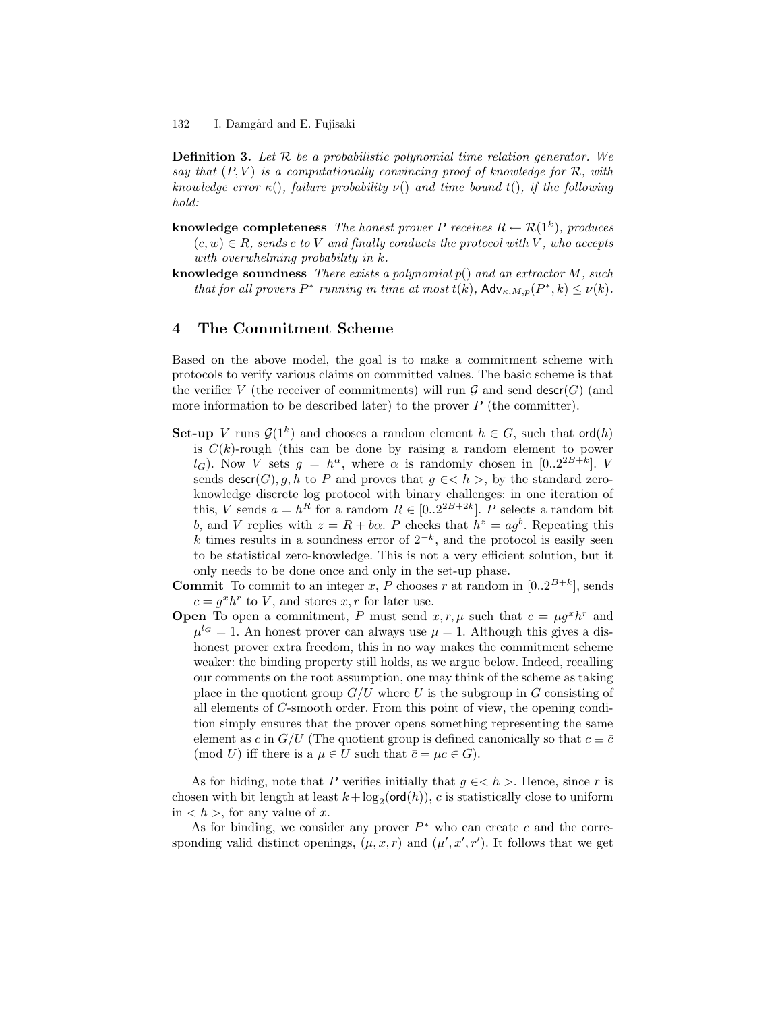**Definition 3.** Let  $\mathcal{R}$  be a probabilistic polynomial time relation generator. We say that  $(P, V)$  is a computationally convincing proof of knowledge for R, with knowledge error  $\kappa$ ), failure probability  $\nu$ ) and time bound t(), if the following hold:

- **knowledge completeness** The honest prover P receives  $R \leftarrow \mathcal{R}(1^k)$ , produces  $(c, w) \in R$ , sends c to V and finally conducts the protocol with V, who accepts with overwhelming probability in k.
- knowledge soundness There exists a polynomial  $p()$  and an extractor  $M$ , such that for all provers  $P^*$  running in time at most  $t(k)$ ,  $\mathsf{Adv}_{\kappa,M,p}(P^*,k) \leq \nu(k)$ .

# 4 The Commitment Scheme

Based on the above model, the goal is to make a commitment scheme with protocols to verify various claims on committed values. The basic scheme is that the verifier V (the receiver of commitments) will run  $\mathcal G$  and send descr(G) (and more information to be described later) to the prover  $P$  (the committer).

- **Set-up** V runs  $\mathcal{G}(1^k)$  and chooses a random element  $h \in G$ , such that ord $(h)$ is  $C(k)$ -rough (this can be done by raising a random element to power l<sub>G</sub>). Now V sets  $g = h^{\alpha}$ , where  $\alpha$  is randomly chosen in [0..2<sup>2B+k</sup>]. V sends descr(G), g, h to P and proves that  $q \in \langle h \rangle$ , by the standard zeroknowledge discrete log protocol with binary challenges: in one iteration of this, V sends  $a = h^R$  for a random  $R \in [0..2^{2B+2k}]$ . P selects a random bit b, and V replies with  $z = R + b\alpha$ . P checks that  $h^z = a g^b$ . Repeating this k times results in a soundness error of  $2^{-k}$ , and the protocol is easily seen to be statistical zero-knowledge. This is not a very efficient solution, but it only needs to be done once and only in the set-up phase.
- **Commit** To commit to an integer x, P chooses r at random in  $[0..2^{B+k}]$ , sends  $c = g^x h^r$  to V, and stores  $x, r$  for later use.
- **Open** To open a commitment, P must send  $x, r, \mu$  such that  $c = \mu g^x h^r$  and  $\mu^{l_G} = 1$ . An honest prover can always use  $\mu = 1$ . Although this gives a dishonest prover extra freedom, this in no way makes the commitment scheme weaker: the binding property still holds, as we argue below. Indeed, recalling our comments on the root assumption, one may think of the scheme as taking place in the quotient group  $G/U$  where U is the subgroup in G consisting of all elements of C-smooth order. From this point of view, the opening condition simply ensures that the prover opens something representing the same element as c in  $G/U$  (The quotient group is defined canonically so that  $c \equiv \bar{c}$ (mod U) iff there is a  $\mu \in U$  such that  $\bar{c} = \mu c \in G$ ).

As for hiding, note that P verifies initially that  $q \in \langle h \rangle$ . Hence, since r is chosen with bit length at least  $k + \log_2(\text{ord}(h))$ , c is statistically close to uniform in  $\langle h \rangle$ , for any value of x.

As for binding, we consider any prover  $P^*$  who can create c and the corresponding valid distinct openings,  $(\mu, x, r)$  and  $(\mu', x', r')$ . It follows that we get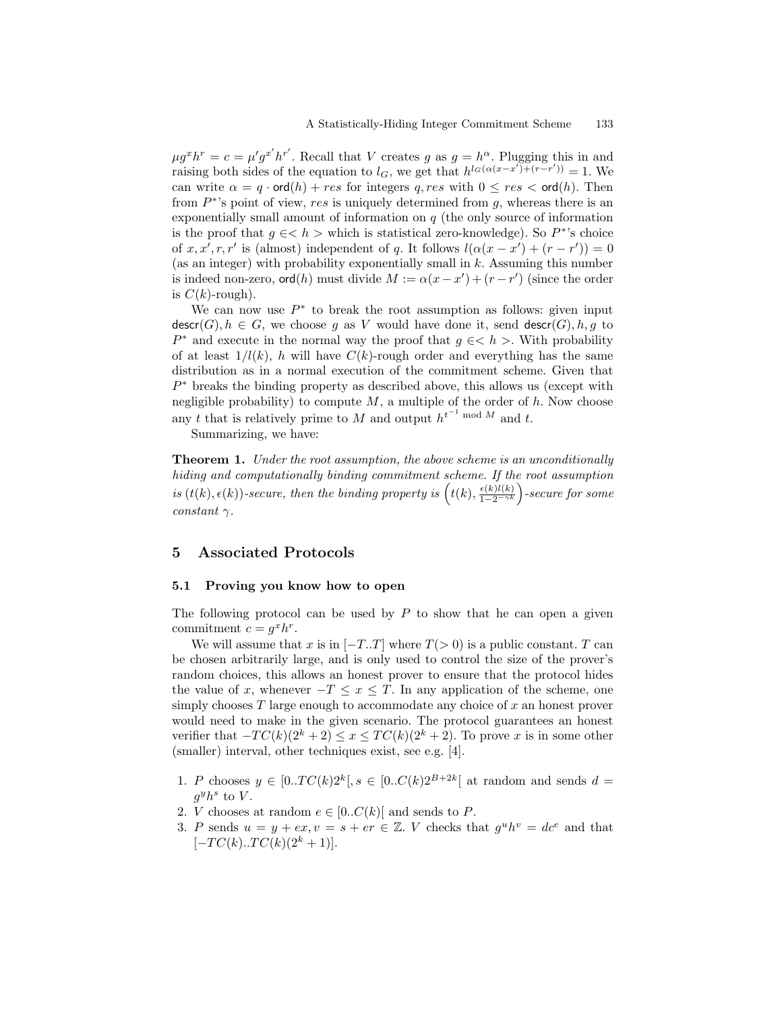$\mu g^x h^r = c = \mu' g^{x'} h^{r'}$ . Recall that V creates g as  $g = h^{\alpha}$ . Plugging this in and raising both sides of the equation to  $l_G$ , we get that  $h^{l_G(\alpha(x-x'))+(r-r')} = 1$ . We can write  $\alpha = q \cdot \text{ord}(h) + res$  for integers q, res with  $0 \leq res < \text{ord}(h)$ . Then from  $P^*$ 's point of view, res is uniquely determined from  $g$ , whereas there is an exponentially small amount of information on  $q$  (the only source of information is the proof that  $g \in \langle h \rangle$  which is statistical zero-knowledge). So  $P^*$ 's choice of  $x, x', r, r'$  is (almost) independent of q. It follows  $l(\alpha(x - x') + (r - r')) = 0$ (as an integer) with probability exponentially small in  $k$ . Assuming this number is indeed non-zero,  $\text{ord}(h)$  must divide  $M := \alpha(x - x') + (r - r')$  (since the order is  $C(k)$ -rough).

We can now use  $P^*$  to break the root assumption as follows: given input  $\mathsf{descr}(G), h \in G$ , we choose g as V would have done it, send  $\mathsf{descr}(G), h, g$  to  $P^*$  and execute in the normal way the proof that  $g \in \langle h \rangle$ . With probability of at least  $1/(k)$ , h will have  $C(k)$ -rough order and everything has the same distribution as in a normal execution of the commitment scheme. Given that P <sup>∗</sup> breaks the binding property as described above, this allows us (except with negligible probability) to compute  $M$ , a multiple of the order of  $h$ . Now choose any t that is relatively prime to M and output  $h^{t^{-1}}$  mod M and t.

Summarizing, we have:

**Theorem 1.** Under the root assumption, the above scheme is an unconditionally hiding and computationally binding commitment scheme. If the root assumption is  $(t(k), \epsilon(k))$ -secure, then the binding property is  $(t(k), \frac{\epsilon(k)l(k)}{1-2^{-\gamma k}})$ -secure for some  $constant \gamma$ .

# 5 Associated Protocols

#### 5.1 Proving you know how to open

The following protocol can be used by  $P$  to show that he can open a given commitment  $c = g^x h^r$ .

We will assume that x is in  $[-T, T]$  where  $T(> 0)$  is a public constant. T can be chosen arbitrarily large, and is only used to control the size of the prover's random choices, this allows an honest prover to ensure that the protocol hides the value of x, whenever  $-T \leq x \leq T$ . In any application of the scheme, one simply chooses  $T$  large enough to accommodate any choice of  $x$  an honest prover would need to make in the given scenario. The protocol guarantees an honest verifier that  $-TC(k)(2^k+2) \leq x \leq TC(k)(2^k+2)$ . To prove x is in some other (smaller) interval, other techniques exist, see e.g. [4].

- 1. P chooses  $y \in [0.TC(k)2^k], s \in [0..C(k)2^{B+2k}]$  at random and sends  $d =$  $g^y h^s$  to V.
- 2. V chooses at random  $e \in [0..C(k)]$  and sends to P.
- 3. P sends  $u = y + ex, v = s + er \in \mathbb{Z}$ . V checks that  $g^u h^v = dc^e$  and that  $[-TC(k)..TC(k)(2<sup>k</sup>+1)].$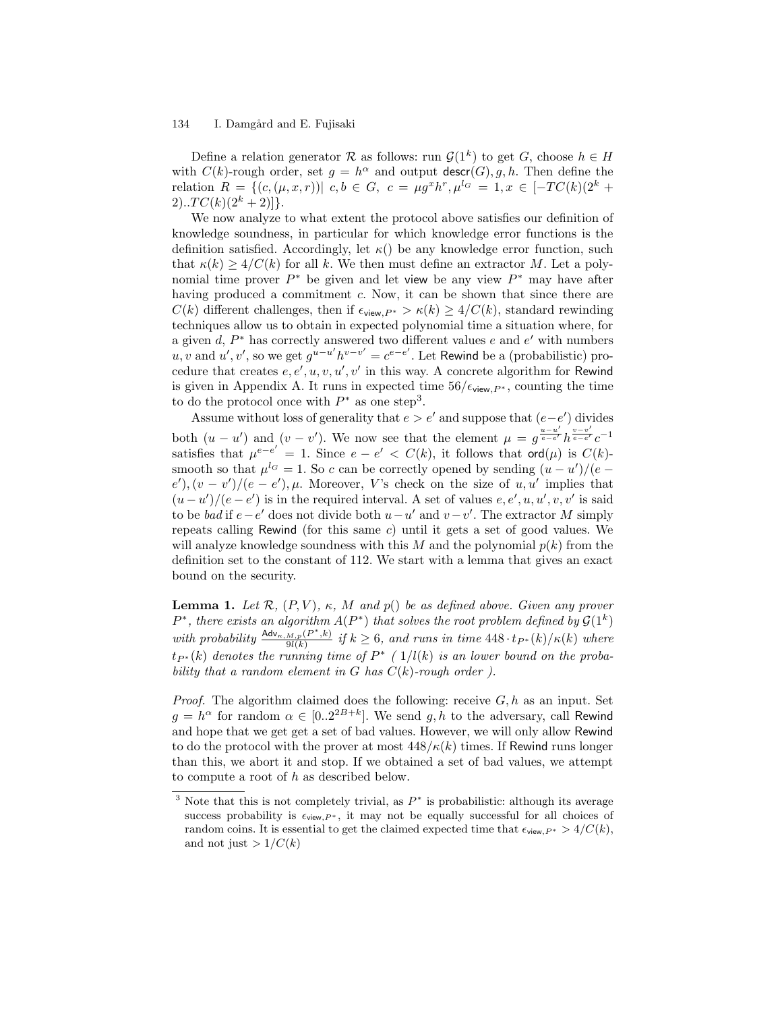Define a relation generator  $\mathcal R$  as follows: run  $\mathcal G(1^k)$  to get  $G$ , choose  $h \in H$ with  $C(k)$ -rough order, set  $g = h^{\alpha}$  and output descr $(G), g, h$ . Then define the relation  $R = \{ (c, (\mu, x, r)) | c, b \in G, c = \mu g^x h^r, \mu^{l_G} = 1, x \in [-TC(k)(2^k +$ 2).. $TC(k)(2^k + 2)]$ .

We now analyze to what extent the protocol above satisfies our definition of knowledge soundness, in particular for which knowledge error functions is the definition satisfied. Accordingly, let  $\kappa$  be any knowledge error function, such that  $\kappa(k) \geq 4/C(k)$  for all k. We then must define an extractor M. Let a polynomial time prover  $P^*$  be given and let view be any view  $P^*$  may have after having produced a commitment c. Now, it can be shown that since there are  $C(k)$  different challenges, then if  $\epsilon_{\text{view},P^*} > \kappa(k) \geq 4/C(k)$ , standard rewinding techniques allow us to obtain in expected polynomial time a situation where, for a given  $d$ ,  $P^*$  has correctly answered two different values  $e$  and  $e'$  with numbers  $u, v$  and  $u', v'$ , so we get  $g^{u-u'}h^{v-v'} = c^{e-e'}$ . Let Rewind be a (probabilistic) procedure that creates  $e, e', u, v, u', v'$  in this way. A concrete algorithm for Rewind is given in Appendix A. It runs in expected time  $56/\epsilon_{\text{view},P^*}$ , counting the time to do the protocol once with  $P^*$  as one step<sup>3</sup>.

Assume without loss of generality that  $e > e'$  and suppose that  $(e-e')$  divides both  $(u - u')$  and  $(v - v')$ . We now see that the element  $\mu = g^{\frac{u - u'}{e - e'}} h^{\frac{v - v'}{e - e'}} c^{-1}$ satisfies that  $\mu^{e-e'} = 1$ . Since  $e - e' < C(k)$ , it follows that  $\text{ord}(\mu)$  is  $C(k)$ smooth so that  $\mu^{l_G} = 1$ . So c can be correctly opened by sending  $(u - u')/(e (e'),(v-v')/(e-e'),\mu$ . Moreover, V's check on the size of  $u, u'$  implies that  $(u - u')/(e - e')$  is in the required interval. A set of values  $e, e', u, u', v, v'$  is said to be *bad* if  $e - e'$  does not divide both  $u - u'$  and  $v - v'$ . The extractor M simply repeats calling Rewind (for this same c) until it gets a set of good values. We will analyze knowledge soundness with this M and the polynomial  $p(k)$  from the definition set to the constant of 112. We start with a lemma that gives an exact bound on the security.

**Lemma 1.** Let  $\mathcal{R}$ ,  $(P, V)$ ,  $\kappa$ , M and  $p()$  be as defined above. Given any prover  $P^*$ , there exists an algorithm  $A(P^*)$  that solves the root problem defined by  $\mathcal{G}(1^k)$ with probability  $\frac{\mathsf{Adv}_{\kappa,M,p}(P^*,k)}{Q(k)}$  $\frac{M, p(F^-, \kappa)}{9l(k)}$  if  $k \geq 6$ , and runs in time  $448 \cdot t_{P^*}(k)/\kappa(k)$  where  $t_{P^*}(k)$  denotes the running time of  $P^*$  (1/l(k) is an lower bound on the probability that a random element in G has  $C(k)$ -rough order).

*Proof.* The algorithm claimed does the following: receive  $G, h$  as an input. Set  $g = h^{\alpha}$  for random  $\alpha \in [0..2^{2B+k}]$ . We send g, h to the adversary, call Rewind and hope that we get get a set of bad values. However, we will only allow Rewind to do the protocol with the prover at most  $448/\kappa(k)$  times. If Rewind runs longer than this, we abort it and stop. If we obtained a set of bad values, we attempt to compute a root of h as described below.

<sup>&</sup>lt;sup>3</sup> Note that this is not completely trivial, as  $P^*$  is probabilistic: although its average success probability is  $\epsilon_{\text{view},P^*}$ , it may not be equally successful for all choices of random coins. It is essential to get the claimed expected time that  $\epsilon_{\text{view},P^*} > 4/C(k)$ , and not just  $> 1/C(k)$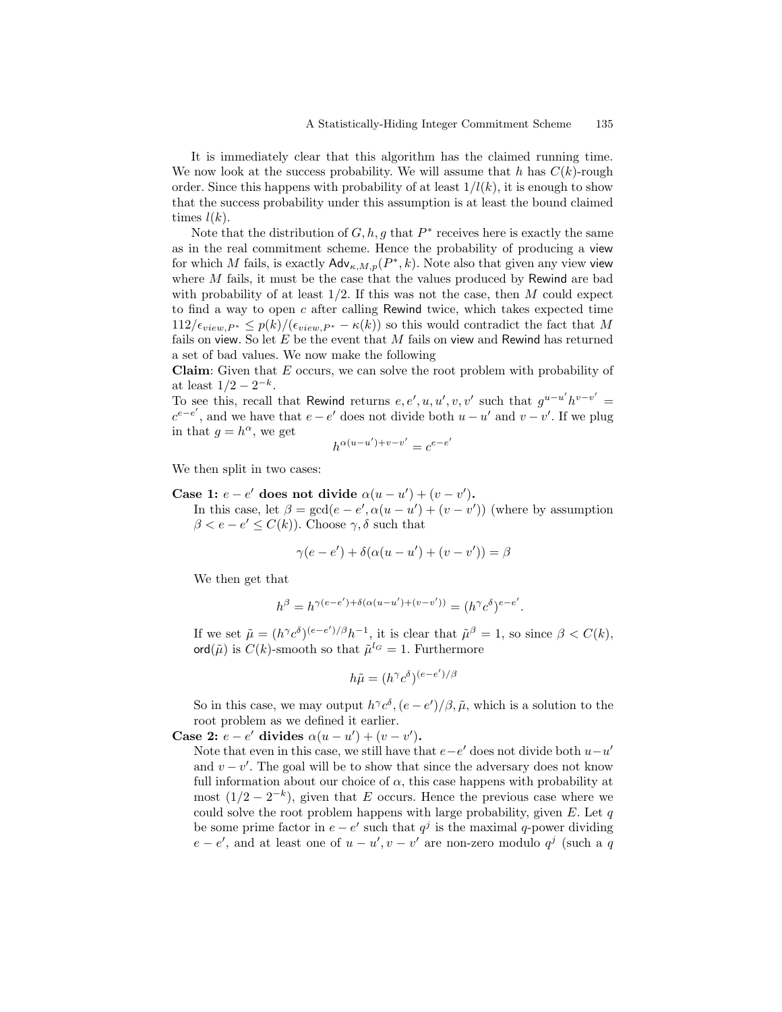It is immediately clear that this algorithm has the claimed running time. We now look at the success probability. We will assume that h has  $C(k)$ -rough order. Since this happens with probability of at least  $1/l(k)$ , it is enough to show that the success probability under this assumption is at least the bound claimed times  $l(k)$ .

Note that the distribution of  $G, h, g$  that  $P^*$  receives here is exactly the same as in the real commitment scheme. Hence the probability of producing a view for which M fails, is exactly  $\mathsf{Adv}_{\kappa, M, p}(P^*, k)$ . Note also that given any view view where M fails, it must be the case that the values produced by Rewind are bad with probability of at least  $1/2$ . If this was not the case, then M could expect to find a way to open  $c$  after calling Rewind twice, which takes expected time  $112/\epsilon_{view,P^*} \leq p(k)/(\epsilon_{view,P^*} - \kappa(k))$  so this would contradict the fact that M fails on view. So let  $E$  be the event that M fails on view and Rewind has returned a set of bad values. We now make the following

Claim: Given that E occurs, we can solve the root problem with probability of at least  $1/2 - 2^{-k}$ .

To see this, recall that Rewind returns  $e, e', u, u', v, v'$  such that  $g^{u-u'}h^{v-v'} =$  $c^{e-e'}$ , and we have that  $e-e'$  does not divide both  $u-u'$  and  $v-v'$ . If we plug in that  $g = h^{\alpha}$ , we get  $\overline{a}$ 

$$
h^{\alpha(u-u')+v-v'} = c^{e-e}
$$

We then split in two cases:

Case 1:  $e - e'$  does not divide  $\alpha(u - u') + (v - v')$ .

In this case, let  $\beta = \gcd(e - e', \alpha(u - u') + (v - v'))$  (where by assumption  $\beta < e - e' \le C(k)$ ). Choose  $\gamma, \delta$  such that

$$
\gamma(e - e') + \delta(\alpha(u - u') + (v - v')) = \beta
$$

We then get that

$$
h^{\beta} = h^{\gamma(e-e') + \delta(\alpha(u-u') + (v-v'))} = (h^{\gamma}c^{\delta})^{e-e'}.
$$

If we set  $\tilde{\mu} = (h^{\gamma} c^{\delta})^{(e-e')/\beta} h^{-1}$ , it is clear that  $\tilde{\mu}^{\beta} = 1$ , so since  $\beta < C(k)$ , ord $(\tilde{\mu})$  is  $C(k)$ -smooth so that  $\tilde{\mu}^{l_G} = 1$ . Furthermore

$$
h\tilde{\mu} = (h^{\gamma}c^{\delta})^{(e-e')/\beta}
$$

So in this case, we may output  $h^{\gamma} c^{\delta}$ ,  $(e - e')/\beta$ ,  $\tilde{\mu}$ , which is a solution to the root problem as we defined it earlier.

Case 2:  $e - e'$  divides  $\alpha(u - u') + (v - v')$ .

Note that even in this case, we still have that  $e-e'$  does not divide both  $u-u'$ and  $v - v'$ . The goal will be to show that since the adversary does not know full information about our choice of  $\alpha$ , this case happens with probability at most  $(1/2 - 2^{-k})$ , given that E occurs. Hence the previous case where we could solve the root problem happens with large probability, given  $E$ . Let q be some prime factor in  $e - e'$  such that  $q<sup>j</sup>$  is the maximal q-power dividing  $e - e'$ , and at least one of  $u - u'$ ,  $v - v'$  are non-zero modulo  $q<sup>j</sup>$  (such a  $q$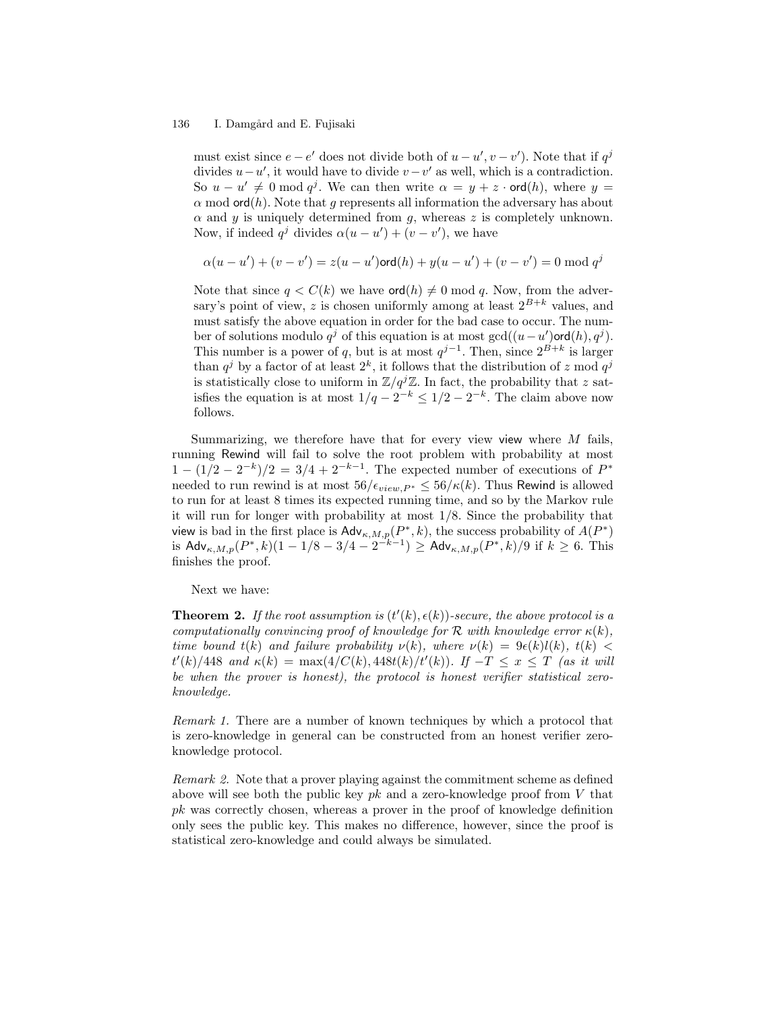must exist since  $e - e'$  does not divide both of  $u - u', v - v'$ ). Note that if  $q<sup>j</sup>$ divides  $u - u'$ , it would have to divide  $v - v'$  as well, which is a contradiction. So  $u - u' \neq 0 \mod q^j$ . We can then write  $\alpha = y + z \cdot \text{ord}(h)$ , where  $y =$  $\alpha$  mod ord(h). Note that g represents all information the adversary has about  $\alpha$  and y is uniquely determined from g, whereas z is completely unknown. Now, if indeed  $q^j$  divides  $\alpha(u - u') + (v - v')$ , we have

$$
\alpha(u - u') + (v - v') = z(u - u')\text{ord}(h) + y(u - u') + (v - v') = 0 \bmod q^j
$$

Note that since  $q \leq C(k)$  we have  $\text{ord}(h) \neq 0 \text{ mod } q$ . Now, from the adversary's point of view, z is chosen uniformly among at least  $2^{B+k}$  values, and must satisfy the above equation in order for the bad case to occur. The number of solutions modulo  $q^j$  of this equation is at most  $gcd((u-u')\text{ord}(h), q^j)$ . This number is a power of q, but is at most  $q^{j-1}$ . Then, since  $2^{B+k}$  is larger than  $q^j$  by a factor of at least  $2^k$ , it follows that the distribution of z mod  $q^j$ is statistically close to uniform in  $\mathbb{Z}/q^j\mathbb{Z}$ . In fact, the probability that z satisfies the equation is at most  $1/q - 2^{-k} \leq 1/2 - 2^{-k}$ . The claim above now follows.

Summarizing, we therefore have that for every view view where  $M$  fails, running Rewind will fail to solve the root problem with probability at most  $1 - (1/2 - 2^{-k})/2 = 3/4 + 2^{-k-1}$ . The expected number of executions of  $P^*$ needed to run rewind is at most  $56/\epsilon_{view,P^*} \leq 56/\kappa(k)$ . Thus Rewind is allowed to run for at least 8 times its expected running time, and so by the Markov rule it will run for longer with probability at most 1/8. Since the probability that view is bad in the first place is  $\mathsf{Adv}_{\kappa,M,p}(P^*,k)$ , the success probability of  $A(P^*)$ is  $\mathsf{Adv}_{\kappa, M, p}(P^*, k)(1 - 1/8 - 3/4 - 2^{-k-1}) \geq \mathsf{Adv}_{\kappa, M, p}(P^*, k)/9$  if  $k \geq 6$ . This finishes the proof.

Next we have:

**Theorem 2.** If the root assumption is  $(t'(k), \epsilon(k))$ -secure, the above protocol is a computationally convincing proof of knowledge for  $\mathcal R$  with knowledge error  $\kappa(k)$ , time bound  $t(k)$  and failure probability  $\nu(k)$ , where  $\nu(k) = 9\epsilon(k)l(k)$ ,  $t(k) <$  $t'(k)/448$  and  $\kappa(k) = \max(4/C(k), 448t(k)/t'(k))$ . If  $-T \leq x \leq T$  (as it will be when the prover is honest), the protocol is honest verifier statistical zeroknowledge.

Remark 1. There are a number of known techniques by which a protocol that is zero-knowledge in general can be constructed from an honest verifier zeroknowledge protocol.

Remark 2. Note that a prover playing against the commitment scheme as defined above will see both the public key  $pk$  and a zero-knowledge proof from  $V$  that pk was correctly chosen, whereas a prover in the proof of knowledge definition only sees the public key. This makes no difference, however, since the proof is statistical zero-knowledge and could always be simulated.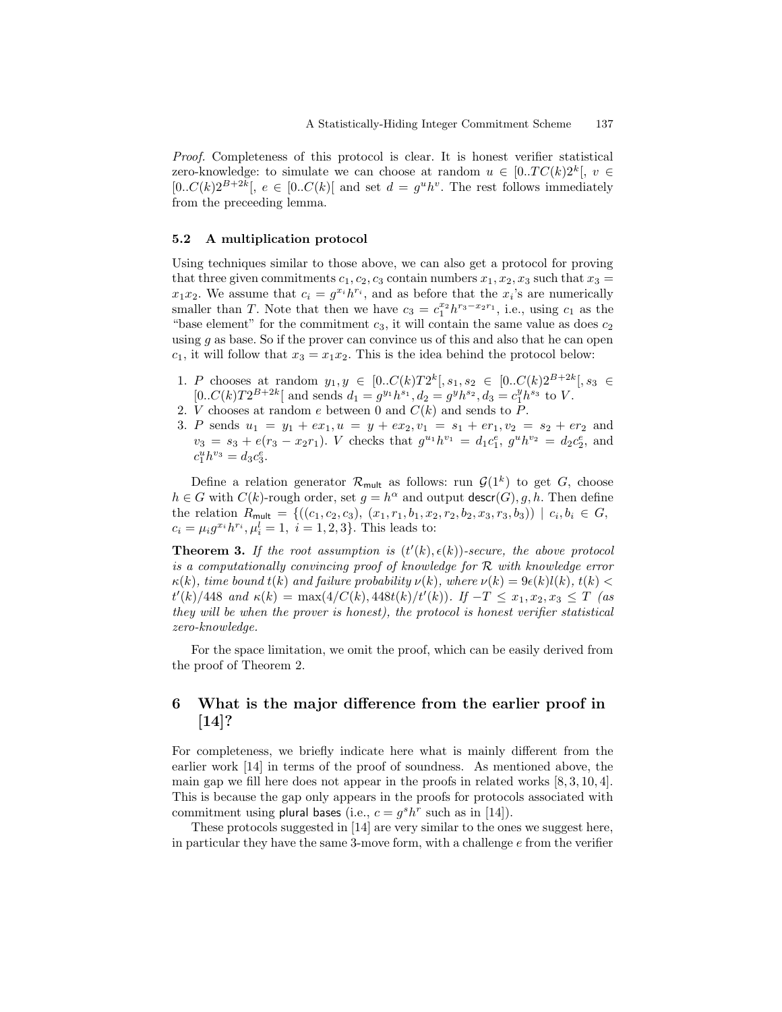Proof. Completeness of this protocol is clear. It is honest verifier statistical zero-knowledge: to simulate we can choose at random  $u \in [0..TC(k)2^k], v \in$ [0.. $C(k)2^{B+2k}$ ],  $e \in [0..C(k)]$  and set  $d = g^u h^v$ . The rest follows immediately from the preceeding lemma.

### 5.2 A multiplication protocol

Using techniques similar to those above, we can also get a protocol for proving that three given commitments  $c_1, c_2, c_3$  contain numbers  $x_1, x_2, x_3$  such that  $x_3 =$  $x_1x_2$ . We assume that  $c_i = g^{x_i}h^{r_i}$ , and as before that the  $x_i$ 's are numerically smaller than T. Note that then we have  $c_3 = c_1^{x_2} h^{r_3 - x_2 r_1}$ , i.e., using  $c_1$  as the "base element" for the commitment  $c_3$ , it will contain the same value as does  $c_2$ using  $g$  as base. So if the prover can convince us of this and also that he can open  $c_1$ , it will follow that  $x_3 = x_1x_2$ . This is the idea behind the protocol below:

- 1. P chooses at random  $y_1, y \in [0..C(k)T2^k], s_1, s_2 \in [0..C(k)2^{B+2k}], s_3 \in$ [0.. $C(k)T2^{B+2k}$ ] and sends  $d_1 = g^{y_1}h^{s_1}, d_2 = g^{y_1}h^{s_2}, d_3 = c_1^yh^{s_3}$  to V.
- 2. *V* chooses at random *e* between 0 and  $C(k)$  and sends to *P*.
- 3. P sends  $u_1 = y_1 + ex_1, u = y + ex_2, v_1 = s_1 + er_1, v_2 = s_2 + er_2$  and  $v_3 = s_3 + e(r_3 - x_2r_1)$ . *V* checks that  $g^{u_1}h^{v_1} = d_1c_1^e$ ,  $g^u h^{v_2} = d_2c_2^e$ , and  $c_1^uh^{v_3} = d_3c_3^e.$

Define a relation generator  $\mathcal{R}_{\text{mult}}$  as follows: run  $\mathcal{G}(1^k)$  to get G, choose  $h \in G$  with  $C(k)$ -rough order, set  $g = h^{\alpha}$  and output  $\textsf{desc}(G), g, h$ . Then define the relation  $R_{\text{mult}} = \{((c_1, c_2, c_3), (x_1, r_1, b_1, x_2, r_2, b_2, x_3, r_3, b_3)) \mid c_i, b_i \in G,$  $c_i = \mu_i g^{x_i} h^{r_i}, \mu_i^l = 1, i = 1, 2, 3\}.$  This leads to:

**Theorem 3.** If the root assumption is  $(t'(k), \epsilon(k))$ -secure, the above protocol is a computationally convincing proof of knowledge for  $\mathcal R$  with knowledge error  $\kappa(k)$ , time bound  $t(k)$  and failure probability  $\nu(k)$ , where  $\nu(k) = 9\epsilon(k)l(k)$ ,  $t(k)$  $t'(k)/448$  and  $\kappa(k) = \max(4/C(k), 448t(k)/t'(k))$ . If  $-T \leq x_1, x_2, x_3 \leq T$  (as they will be when the prover is honest), the protocol is honest verifier statistical zero-knowledge.

For the space limitation, we omit the proof, which can be easily derived from the proof of Theorem 2.

# 6 What is the major difference from the earlier proof in [14]?

For completeness, we briefly indicate here what is mainly different from the earlier work [14] in terms of the proof of soundness. As mentioned above, the main gap we fill here does not appear in the proofs in related works  $[8, 3, 10, 4]$ . This is because the gap only appears in the proofs for protocols associated with commitment using plural bases (i.e.,  $c = g<sup>s</sup> h<sup>r</sup>$  such as in [14]).

These protocols suggested in [14] are very similar to the ones we suggest here, in particular they have the same 3-move form, with a challenge e from the verifier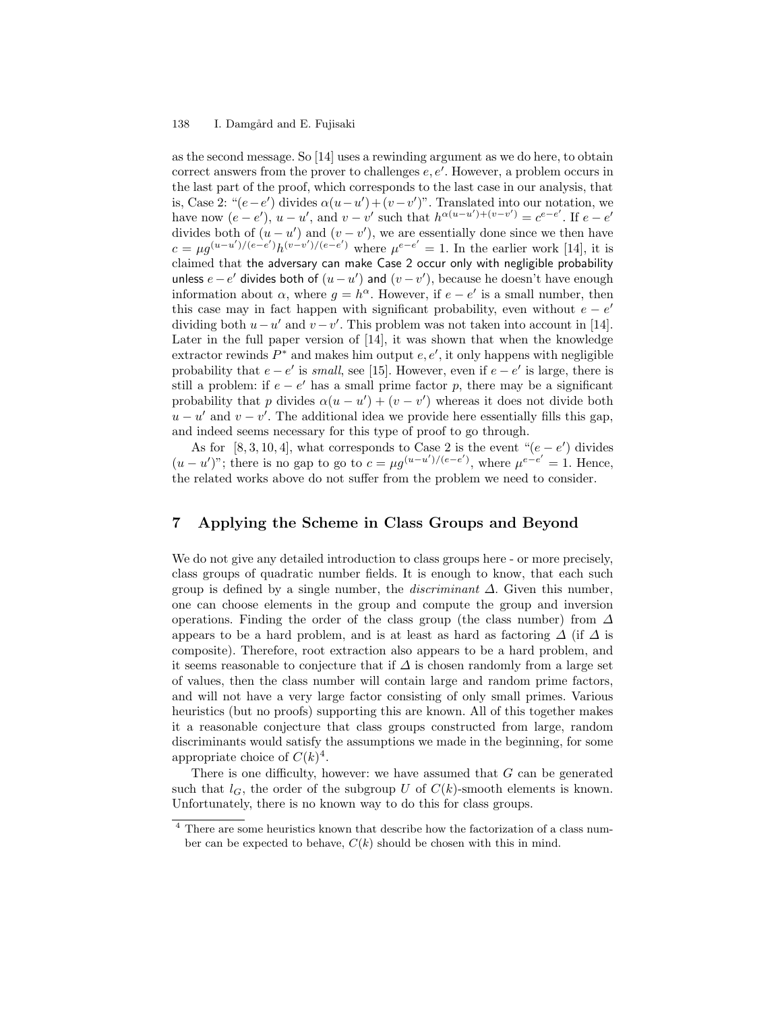as the second message. So [14] uses a rewinding argument as we do here, to obtain correct answers from the prover to challenges  $e, e'$ . However, a problem occurs in the last part of the proof, which corresponds to the last case in our analysis, that is, Case 2: " $(e-e')$  divides  $\alpha(u-u') + (v-v')$ ". Translated into our notation, we have now  $(e-e'), u-u'$ , and  $v-v'$  such that  $h^{\alpha(u-u')+(v-v')}=c^{e-e'}$ . If  $e-e'$ divides both of  $(u - u')$  and  $(v - v')$ , we are essentially done since we then have  $c = \mu g^{(u-u')/(e-e')} h^{(v-v')/(e-e')}$  where  $\mu^{e-e'} = 1$ . In the earlier work [14], it is claimed that the adversary can make Case 2 occur only with negligible probability unless  $e - e'$  divides both of  $(u - u')$  and  $(v - v')$ , because he doesn't have enough information about  $\alpha$ , where  $g = h^{\alpha}$ . However, if  $e - e'$  is a small number, then this case may in fact happen with significant probability, even without  $e - e'$ dividing both  $u - u'$  and  $v - v'$ . This problem was not taken into account in [14]. Later in the full paper version of [14], it was shown that when the knowledge extractor rewinds  $P^*$  and makes him output  $e, e',$  it only happens with negligible probability that  $e - e'$  is *small*, see [15]. However, even if  $e - e'$  is large, there is still a problem: if  $e - e'$  has a small prime factor p, there may be a significant probability that p divides  $\alpha(u - u') + (v - v')$  whereas it does not divide both  $u - u'$  and  $v - v'$ . The additional idea we provide here essentially fills this gap, and indeed seems necessary for this type of proof to go through.

As for [8, 3, 10, 4], what corresponds to Case 2 is the event " $(e - e')$  divides  $(u - u')$ "; there is no gap to go to  $c = \mu g^{(u - u')/(e - e')}$ , where  $\mu^{e - e'} = 1$ . Hence, the related works above do not suffer from the problem we need to consider.

# 7 Applying the Scheme in Class Groups and Beyond

We do not give any detailed introduction to class groups here - or more precisely, class groups of quadratic number fields. It is enough to know, that each such group is defined by a single number, the *discriminant*  $\Delta$ . Given this number, one can choose elements in the group and compute the group and inversion operations. Finding the order of the class group (the class number) from  $\Delta$ appears to be a hard problem, and is at least as hard as factoring  $\Delta$  (if  $\Delta$  is composite). Therefore, root extraction also appears to be a hard problem, and it seems reasonable to conjecture that if  $\Delta$  is chosen randomly from a large set of values, then the class number will contain large and random prime factors, and will not have a very large factor consisting of only small primes. Various heuristics (but no proofs) supporting this are known. All of this together makes it a reasonable conjecture that class groups constructed from large, random discriminants would satisfy the assumptions we made in the beginning, for some appropriate choice of  $C(k)^4$ .

There is one difficulty, however: we have assumed that  $G$  can be generated such that  $l_G$ , the order of the subgroup U of  $C(k)$ -smooth elements is known. Unfortunately, there is no known way to do this for class groups.

 $^4$  There are some heuristics known that describe how the factorization of a class number can be expected to behave,  $C(k)$  should be chosen with this in mind.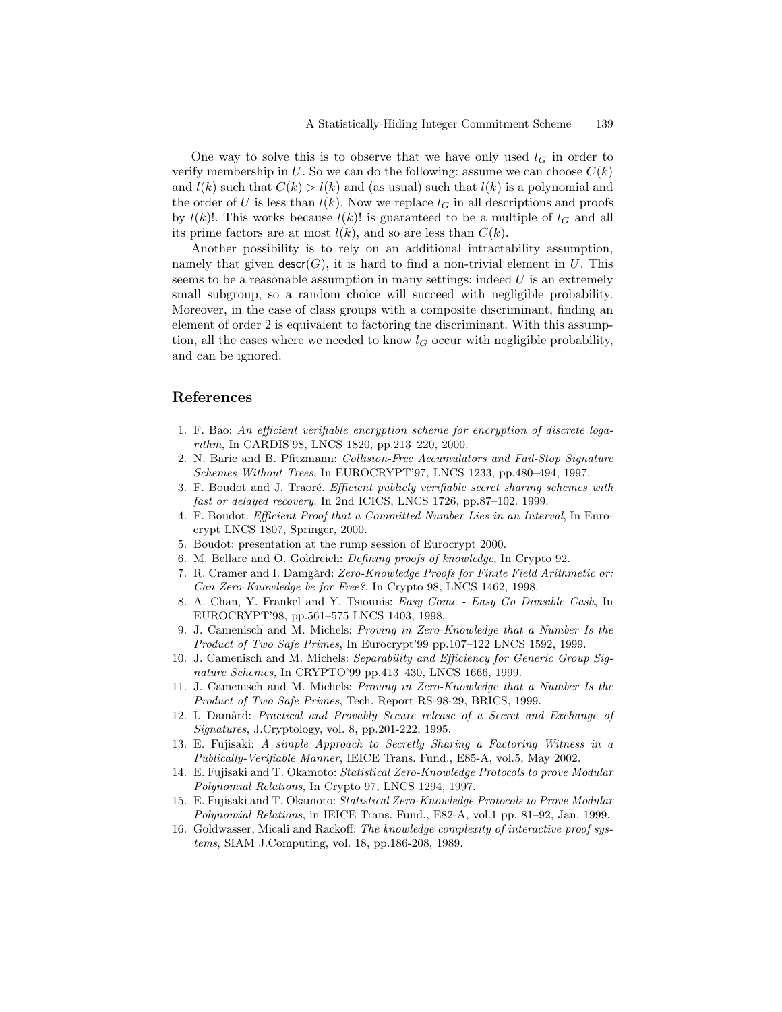One way to solve this is to observe that we have only used  $l_G$  in order to verify membership in U. So we can do the following: assume we can choose  $C(k)$ and  $l(k)$  such that  $C(k) > l(k)$  and (as usual) such that  $l(k)$  is a polynomial and the order of U is less than  $l(k)$ . Now we replace  $l_G$  in all descriptions and proofs by  $l(k)$ !. This works because  $l(k)$ ! is guaranteed to be a multiple of  $l_G$  and all its prime factors are at most  $l(k)$ , and so are less than  $C(k)$ .

Another possibility is to rely on an additional intractability assumption, namely that given  $\mathsf{desc}(G)$ , it is hard to find a non-trivial element in U. This seems to be a reasonable assumption in many settings: indeed  $U$  is an extremely small subgroup, so a random choice will succeed with negligible probability. Moreover, in the case of class groups with a composite discriminant, finding an element of order 2 is equivalent to factoring the discriminant. With this assumption, all the cases where we needed to know  $l_G$  occur with negligible probability, and can be ignored.

# References

- 1. F. Bao: An efficient verifiable encryption scheme for encryption of discrete logarithm, In CARDIS'98, LNCS 1820, pp.213–220, 2000.
- 2. N. Baric and B. Pfitzmann: Collision-Free Accumulators and Fail-Stop Signature Schemes Without Trees, In EUROCRYPT'97, LNCS 1233, pp.480–494, 1997.
- 3. F. Boudot and J. Traoré. *Efficient publicly verifiable secret sharing schemes with* fast or delayed recovery. In 2nd ICICS, LNCS 1726, pp.87–102. 1999.
- 4. F. Boudot: Efficient Proof that a Committed Number Lies in an Interval, In Eurocrypt LNCS 1807, Springer, 2000.
- 5. Boudot: presentation at the rump session of Eurocrypt 2000.
- 6. M. Bellare and O. Goldreich: Defining proofs of knowledge, In Crypto 92.
- 7. R. Cramer and I. Damgård: Zero-Knowledge Proofs for Finite Field Arithmetic or: Can Zero-Knowledge be for Free?, In Crypto 98, LNCS 1462, 1998.
- 8. A. Chan, Y. Frankel and Y. Tsiounis: Easy Come Easy Go Divisible Cash, In EUROCRYPT'98, pp.561–575 LNCS 1403, 1998.
- 9. J. Camenisch and M. Michels: Proving in Zero-Knowledge that a Number Is the Product of Two Safe Primes, In Eurocrypt'99 pp.107–122 LNCS 1592, 1999.
- 10. J. Camenisch and M. Michels: Separability and Efficiency for Generic Group Signature Schemes, In CRYPTO'99 pp.413–430, LNCS 1666, 1999.
- 11. J. Camenisch and M. Michels: Proving in Zero-Knowledge that a Number Is the Product of Two Safe Primes, Tech. Report RS-98-29, BRICS, 1999.
- 12. I. Damård: Practical and Provably Secure release of a Secret and Exchange of Signatures, J.Cryptology, vol. 8, pp.201-222, 1995.
- 13. E. Fujisaki: A simple Approach to Secretly Sharing a Factoring Witness in a Publically-Verifiable Manner, IEICE Trans. Fund., E85-A, vol.5, May 2002.
- 14. E. Fujisaki and T. Okamoto: Statistical Zero-Knowledge Protocols to prove Modular Polynomial Relations, In Crypto 97, LNCS 1294, 1997.
- 15. E. Fujisaki and T. Okamoto: Statistical Zero-Knowledge Protocols to Prove Modular Polynomial Relations, in IEICE Trans. Fund., E82-A, vol.1 pp. 81–92, Jan. 1999.
- 16. Goldwasser, Micali and Rackoff: The knowledge complexity of interactive proof systems, SIAM J.Computing, vol. 18, pp.186-208, 1989.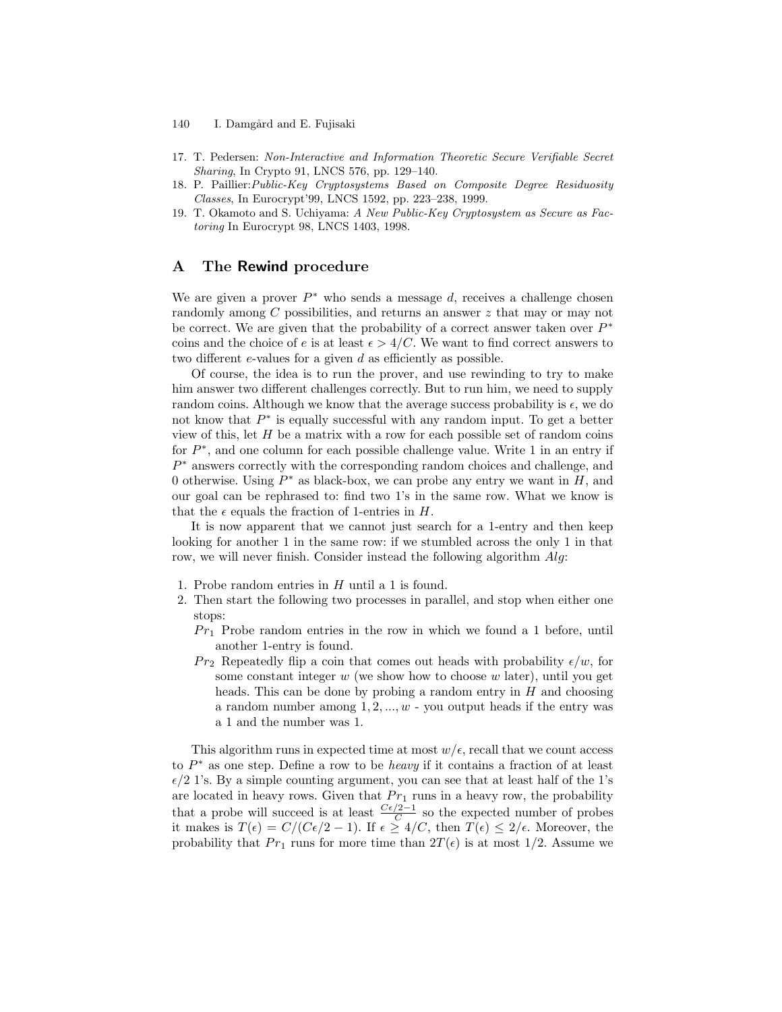- 140 I. Damgård and E. Fujisaki
- 17. T. Pedersen: Non-Interactive and Information Theoretic Secure Verifiable Secret Sharing, In Crypto 91, LNCS 576, pp. 129–140.
- 18. P. Paillier:Public-Key Cryptosystems Based on Composite Degree Residuosity Classes, In Eurocrypt'99, LNCS 1592, pp. 223–238, 1999.
- 19. T. Okamoto and S. Uchiyama: A New Public-Key Cryptosystem as Secure as Factoring In Eurocrypt 98, LNCS 1403, 1998.

# A The Rewind procedure

We are given a prover  $P^*$  who sends a message  $d$ , receives a challenge chosen randomly among C possibilities, and returns an answer z that may or may not be correct. We are given that the probability of a correct answer taken over  $P^*$ coins and the choice of e is at least  $\epsilon > 4/C$ . We want to find correct answers to two different  $e$ -values for a given  $d$  as efficiently as possible.

Of course, the idea is to run the prover, and use rewinding to try to make him answer two different challenges correctly. But to run him, we need to supply random coins. Although we know that the average success probability is  $\epsilon$ , we do not know that  $P^*$  is equally successful with any random input. To get a better view of this, let  $H$  be a matrix with a row for each possible set of random coins for  $P^*$ , and one column for each possible challenge value. Write 1 in an entry if P <sup>∗</sup> answers correctly with the corresponding random choices and challenge, and 0 otherwise. Using  $P^*$  as black-box, we can probe any entry we want in  $H$ , and our goal can be rephrased to: find two 1's in the same row. What we know is that the  $\epsilon$  equals the fraction of 1-entries in H.

It is now apparent that we cannot just search for a 1-entry and then keep looking for another 1 in the same row: if we stumbled across the only 1 in that row, we will never finish. Consider instead the following algorithm  $Alg$ :

- 1. Probe random entries in H until a 1 is found.
- 2. Then start the following two processes in parallel, and stop when either one stops:
	- $Pr_1$  Probe random entries in the row in which we found a 1 before, until another 1-entry is found.
	- $Pr_2$  Repeatedly flip a coin that comes out heads with probability  $\epsilon/w$ , for some constant integer  $w$  (we show how to choose  $w$  later), until you get heads. This can be done by probing a random entry in  $H$  and choosing a random number among  $1, 2, ..., w$  - you output heads if the entry was a 1 and the number was 1.

This algorithm runs in expected time at most  $w/\epsilon$ , recall that we count access to  $P^*$  as one step. Define a row to be *heavy* if it contains a fraction of at least  $\epsilon/2$  1's. By a simple counting argument, you can see that at least half of the 1's are located in heavy rows. Given that  $Pr_1$  runs in a heavy row, the probability that a probe will succeed is at least  $\frac{C\epsilon/2-1}{C}$  so the expected number of probes it makes is  $T(\epsilon) = C/(C\epsilon/2 - 1)$ . If  $\epsilon \geq 4/C$ , then  $T(\epsilon) \leq 2/\epsilon$ . Moreover, the probability that  $Pr_1$  runs for more time than  $2T(\epsilon)$  is at most 1/2. Assume we